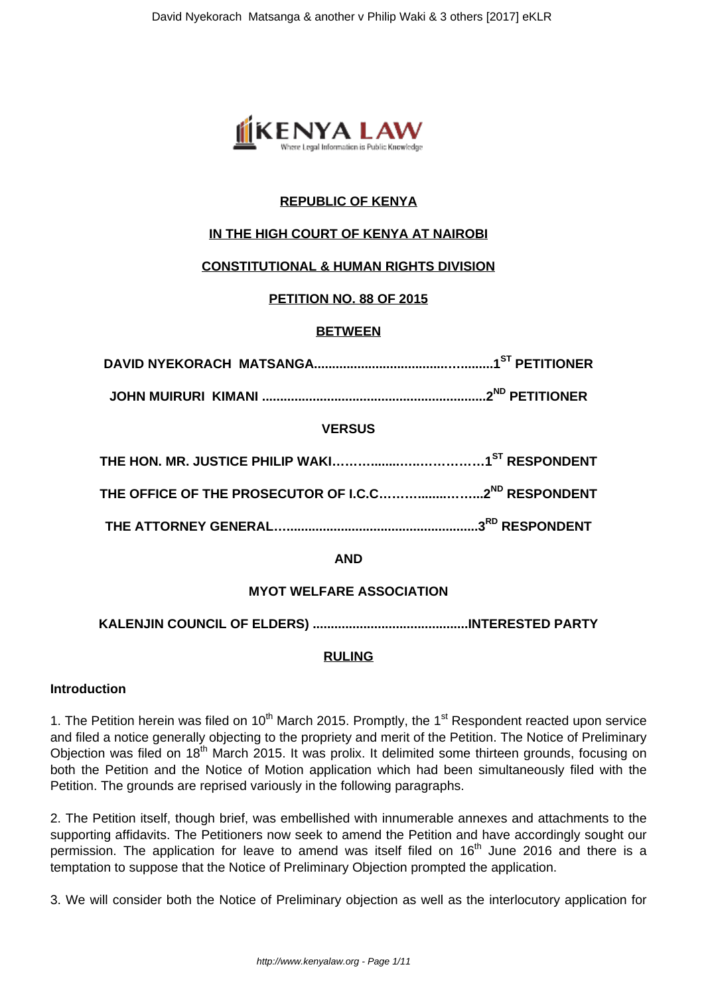

# **REPUBLIC OF KENYA**

# **IN THE HIGH COURT OF KENYA AT NAIROBI**

## **CONSTITUTIONAL & HUMAN RIGHTS DIVISION**

# **PETITION NO. 88 OF 2015**

## **BETWEEN**

**JOHN MUIRURI KIMANI ..............................................................2ND PETITIONER**

## **VERSUS**

## **AND**

## **MYOT WELFARE ASSOCIATION**

**KALENJIN COUNCIL OF ELDERS) ...........................................INTERESTED PARTY**

## **RULING**

## **Introduction**

1. The Petition herein was filed on  $10<sup>th</sup>$  March 2015. Promptly, the 1<sup>st</sup> Respondent reacted upon service and filed a notice generally objecting to the propriety and merit of the Petition. The Notice of Preliminary Obiection was filed on 18<sup>th</sup> March 2015. It was prolix. It delimited some thirteen grounds, focusing on both the Petition and the Notice of Motion application which had been simultaneously filed with the Petition. The grounds are reprised variously in the following paragraphs.

2. The Petition itself, though brief, was embellished with innumerable annexes and attachments to the supporting affidavits. The Petitioners now seek to amend the Petition and have accordingly sought our permission. The application for leave to amend was itself filed on  $16<sup>th</sup>$  June 2016 and there is a temptation to suppose that the Notice of Preliminary Objection prompted the application.

3. We will consider both the Notice of Preliminary objection as well as the interlocutory application for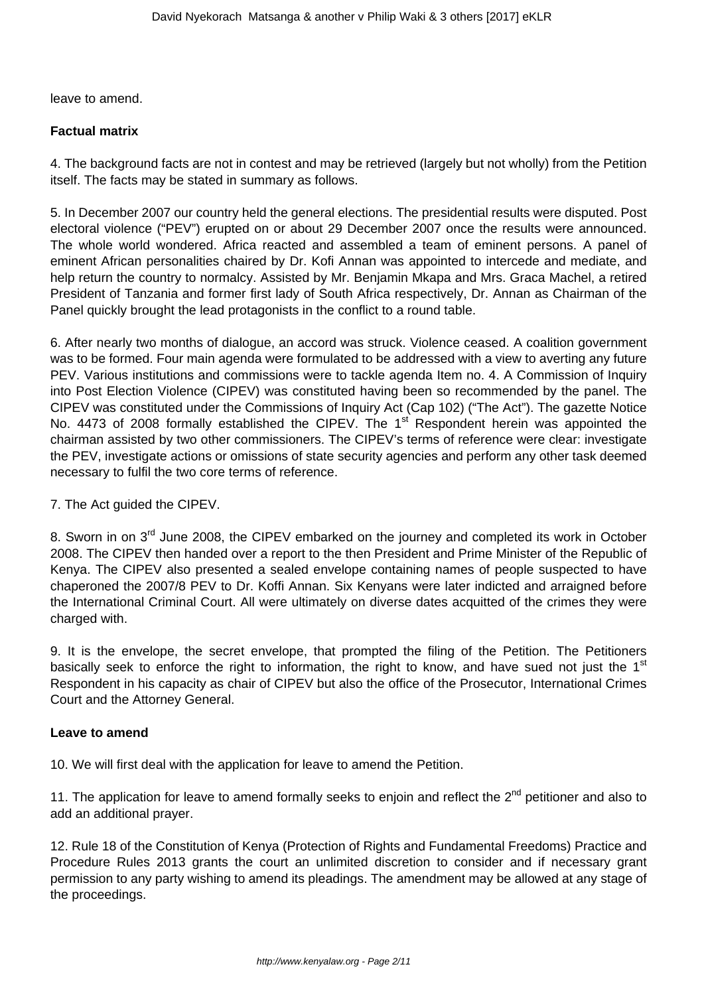leave to amend.

#### **Factual matrix**

4. The background facts are not in contest and may be retrieved (largely but not wholly) from the Petition itself. The facts may be stated in summary as follows.

5. In December 2007 our country held the general elections. The presidential results were disputed. Post electoral violence ("PEV") erupted on or about 29 December 2007 once the results were announced. The whole world wondered. Africa reacted and assembled a team of eminent persons. A panel of eminent African personalities chaired by Dr. Kofi Annan was appointed to intercede and mediate, and help return the country to normalcy. Assisted by Mr. Benjamin Mkapa and Mrs. Graca Machel, a retired President of Tanzania and former first lady of South Africa respectively, Dr. Annan as Chairman of the Panel quickly brought the lead protagonists in the conflict to a round table.

6. After nearly two months of dialogue, an accord was struck. Violence ceased. A coalition government was to be formed. Four main agenda were formulated to be addressed with a view to averting any future PEV. Various institutions and commissions were to tackle agenda Item no. 4. A Commission of Inquiry into Post Election Violence (CIPEV) was constituted having been so recommended by the panel. The CIPEV was constituted under the Commissions of Inquiry Act (Cap 102) ("The Act"). The gazette Notice No. 4473 of 2008 formally established the CIPEV. The 1<sup>st</sup> Respondent herein was appointed the chairman assisted by two other commissioners. The CIPEV's terms of reference were clear: investigate the PEV, investigate actions or omissions of state security agencies and perform any other task deemed necessary to fulfil the two core terms of reference.

#### 7. The Act guided the CIPEV.

8. Sworn in on 3<sup>rd</sup> June 2008, the CIPEV embarked on the journey and completed its work in October 2008. The CIPEV then handed over a report to the then President and Prime Minister of the Republic of Kenya. The CIPEV also presented a sealed envelope containing names of people suspected to have chaperoned the 2007/8 PEV to Dr. Koffi Annan. Six Kenyans were later indicted and arraigned before the International Criminal Court. All were ultimately on diverse dates acquitted of the crimes they were charged with.

9. It is the envelope, the secret envelope, that prompted the filing of the Petition. The Petitioners basically seek to enforce the right to information, the right to know, and have sued not just the 1<sup>st</sup> Respondent in his capacity as chair of CIPEV but also the office of the Prosecutor, International Crimes Court and the Attorney General.

#### **Leave to amend**

10. We will first deal with the application for leave to amend the Petition.

11. The application for leave to amend formally seeks to enjoin and reflect the 2<sup>nd</sup> petitioner and also to add an additional prayer.

12. Rule 18 of the Constitution of Kenya (Protection of Rights and Fundamental Freedoms) Practice and Procedure Rules 2013 grants the court an unlimited discretion to consider and if necessary grant permission to any party wishing to amend its pleadings. The amendment may be allowed at any stage of the proceedings.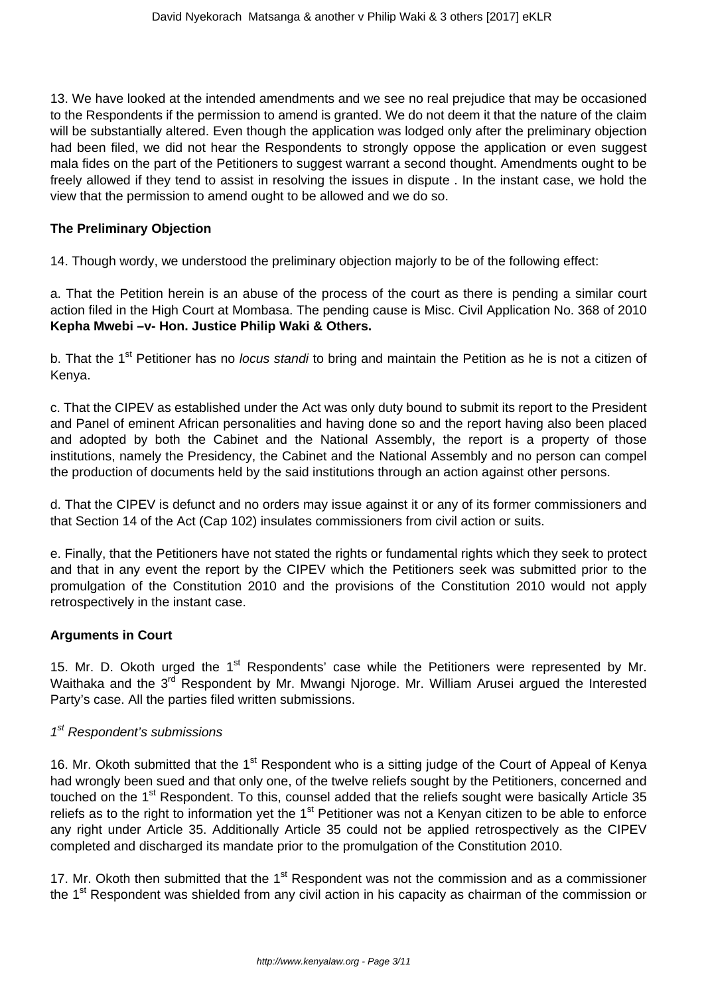13. We have looked at the intended amendments and we see no real prejudice that may be occasioned to the Respondents if the permission to amend is granted. We do not deem it that the nature of the claim will be substantially altered. Even though the application was lodged only after the preliminary objection had been filed, we did not hear the Respondents to strongly oppose the application or even suggest mala fides on the part of the Petitioners to suggest warrant a second thought. Amendments ought to be freely allowed if they tend to assist in resolving the issues in dispute . In the instant case, we hold the view that the permission to amend ought to be allowed and we do so.

#### **The Preliminary Objection**

14. Though wordy, we understood the preliminary objection majorly to be of the following effect:

a. That the Petition herein is an abuse of the process of the court as there is pending a similar court action filed in the High Court at Mombasa. The pending cause is Misc. Civil Application No. 368 of 2010 **Kepha Mwebi –v- Hon. Justice Philip Waki & Others.**

b. That the 1<sup>st</sup> Petitioner has no *locus standi* to bring and maintain the Petition as he is not a citizen of Kenya.

c. That the CIPEV as established under the Act was only duty bound to submit its report to the President and Panel of eminent African personalities and having done so and the report having also been placed and adopted by both the Cabinet and the National Assembly, the report is a property of those institutions, namely the Presidency, the Cabinet and the National Assembly and no person can compel the production of documents held by the said institutions through an action against other persons.

d. That the CIPEV is defunct and no orders may issue against it or any of its former commissioners and that Section 14 of the Act (Cap 102) insulates commissioners from civil action or suits.

e. Finally, that the Petitioners have not stated the rights or fundamental rights which they seek to protect and that in any event the report by the CIPEV which the Petitioners seek was submitted prior to the promulgation of the Constitution 2010 and the provisions of the Constitution 2010 would not apply retrospectively in the instant case.

## **Arguments in Court**

15. Mr. D. Okoth urged the 1<sup>st</sup> Respondents' case while the Petitioners were represented by Mr. Waithaka and the 3<sup>rd</sup> Respondent by Mr. Mwangi Njoroge. Mr. William Arusei argued the Interested Party's case. All the parties filed written submissions.

## 1<sup>st</sup> Respondent's submissions

16. Mr. Okoth submitted that the 1<sup>st</sup> Respondent who is a sitting judge of the Court of Appeal of Kenya had wrongly been sued and that only one, of the twelve reliefs sought by the Petitioners, concerned and touched on the 1<sup>st</sup> Respondent. To this, counsel added that the reliefs sought were basically Article 35 reliefs as to the right to information yet the 1<sup>st</sup> Petitioner was not a Kenyan citizen to be able to enforce any right under Article 35. Additionally Article 35 could not be applied retrospectively as the CIPEV completed and discharged its mandate prior to the promulgation of the Constitution 2010.

17. Mr. Okoth then submitted that the  $1<sup>st</sup>$  Respondent was not the commission and as a commissioner the 1<sup>st</sup> Respondent was shielded from any civil action in his capacity as chairman of the commission or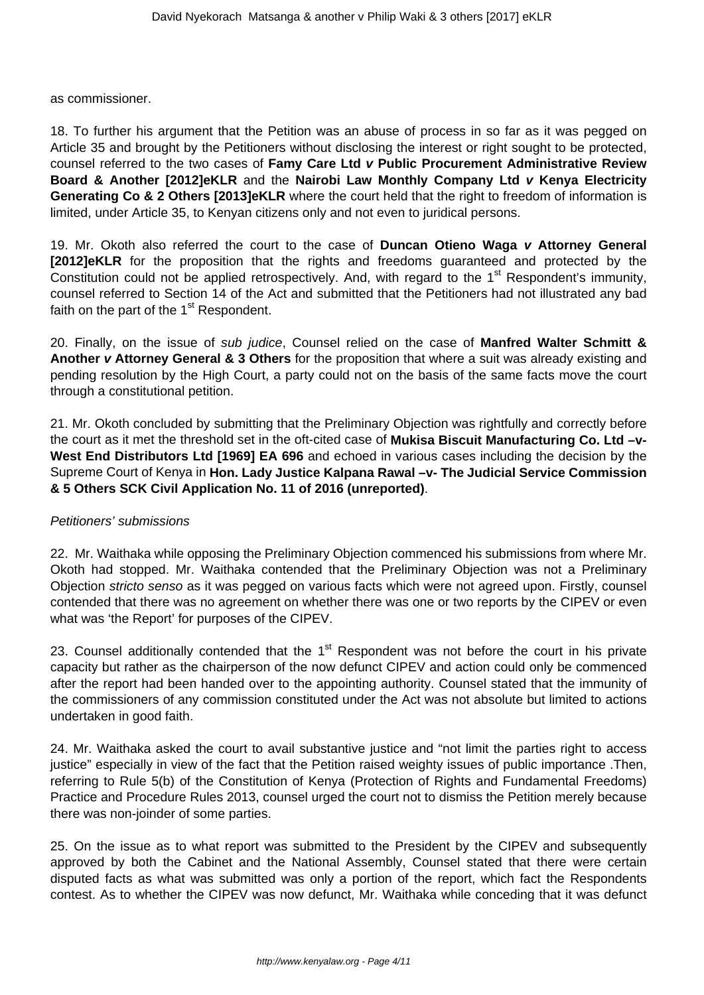as commissioner.

18. To further his argument that the Petition was an abuse of process in so far as it was pegged on Article 35 and brought by the Petitioners without disclosing the interest or right sought to be protected, counsel referred to the two cases of **Famy Care Ltd v Public Procurement Administrative Review Board & Another [2012]eKLR** and the **Nairobi Law Monthly Company Ltd v Kenya Electricity Generating Co & 2 Others [2013]eKLR** where the court held that the right to freedom of information is limited, under Article 35, to Kenyan citizens only and not even to juridical persons.

19. Mr. Okoth also referred the court to the case of **Duncan Otieno Waga v Attorney General [2012]eKLR** for the proposition that the rights and freedoms guaranteed and protected by the Constitution could not be applied retrospectively. And, with regard to the 1<sup>st</sup> Respondent's immunity, counsel referred to Section 14 of the Act and submitted that the Petitioners had not illustrated any bad faith on the part of the  $1<sup>st</sup>$  Respondent.

20. Finally, on the issue of sub judice, Counsel relied on the case of **Manfred Walter Schmitt & Another v Attorney General & 3 Others** for the proposition that where a suit was already existing and pending resolution by the High Court, a party could not on the basis of the same facts move the court through a constitutional petition.

21. Mr. Okoth concluded by submitting that the Preliminary Objection was rightfully and correctly before the court as it met the threshold set in the oft-cited case of **Mukisa Biscuit Manufacturing Co. Ltd –v-West End Distributors Ltd [1969] EA 696** and echoed in various cases including the decision by the Supreme Court of Kenya in **Hon. Lady Justice Kalpana Rawal –v- The Judicial Service Commission & 5 Others SCK Civil Application No. 11 of 2016 (unreported)**.

## Petitioners' submissions

22. Mr. Waithaka while opposing the Preliminary Objection commenced his submissions from where Mr. Okoth had stopped. Mr. Waithaka contended that the Preliminary Objection was not a Preliminary Objection stricto senso as it was pegged on various facts which were not agreed upon. Firstly, counsel contended that there was no agreement on whether there was one or two reports by the CIPEV or even what was 'the Report' for purposes of the CIPEV.

23. Counsel additionally contended that the  $1<sup>st</sup>$  Respondent was not before the court in his private capacity but rather as the chairperson of the now defunct CIPEV and action could only be commenced after the report had been handed over to the appointing authority. Counsel stated that the immunity of the commissioners of any commission constituted under the Act was not absolute but limited to actions undertaken in good faith.

24. Mr. Waithaka asked the court to avail substantive justice and "not limit the parties right to access justice" especially in view of the fact that the Petition raised weighty issues of public importance. Then, referring to Rule 5(b) of the Constitution of Kenya (Protection of Rights and Fundamental Freedoms) Practice and Procedure Rules 2013, counsel urged the court not to dismiss the Petition merely because there was non-joinder of some parties.

25. On the issue as to what report was submitted to the President by the CIPEV and subsequently approved by both the Cabinet and the National Assembly, Counsel stated that there were certain disputed facts as what was submitted was only a portion of the report, which fact the Respondents contest. As to whether the CIPEV was now defunct, Mr. Waithaka while conceding that it was defunct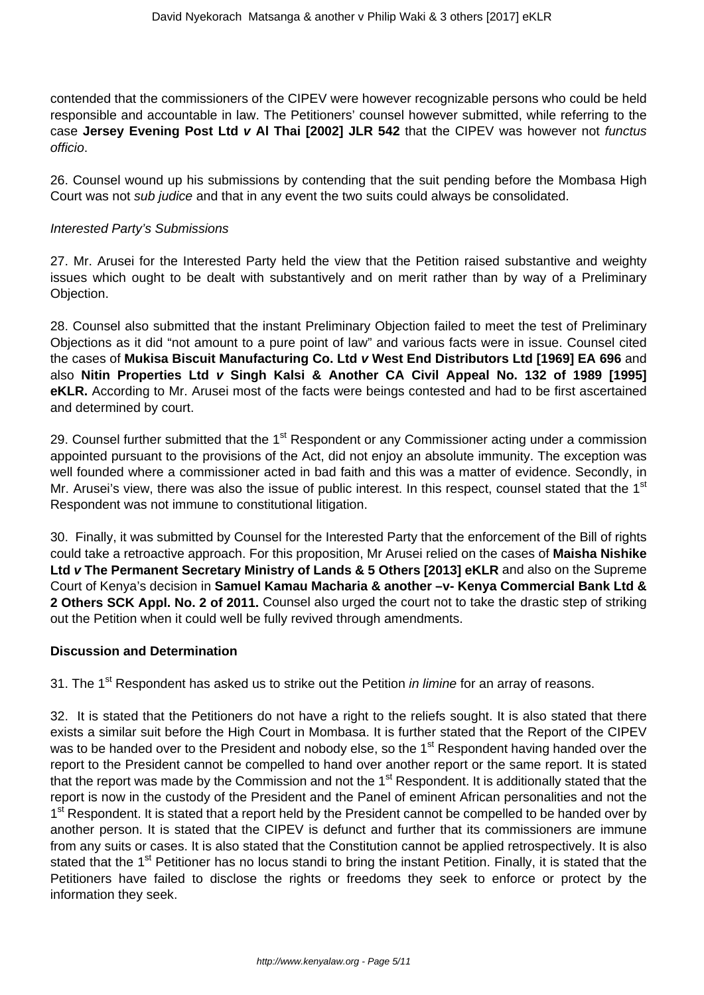contended that the commissioners of the CIPEV were however recognizable persons who could be held responsible and accountable in law. The Petitioners' counsel however submitted, while referring to the case **Jersey Evening Post Ltd v Al Thai [2002] JLR 542** that the CIPEV was however not functus officio.

26. Counsel wound up his submissions by contending that the suit pending before the Mombasa High Court was not sub judice and that in any event the two suits could always be consolidated.

#### Interested Party's Submissions

27. Mr. Arusei for the Interested Party held the view that the Petition raised substantive and weighty issues which ought to be dealt with substantively and on merit rather than by way of a Preliminary Objection.

28. Counsel also submitted that the instant Preliminary Objection failed to meet the test of Preliminary Objections as it did "not amount to a pure point of law" and various facts were in issue. Counsel cited the cases of **Mukisa Biscuit Manufacturing Co. Ltd v West End Distributors Ltd [1969] EA 696** and also **Nitin Properties Ltd v Singh Kalsi & Another CA Civil Appeal No. 132 of 1989 [1995] eKLR.** According to Mr. Arusei most of the facts were beings contested and had to be first ascertained and determined by court.

29. Counsel further submitted that the 1<sup>st</sup> Respondent or any Commissioner acting under a commission appointed pursuant to the provisions of the Act, did not enjoy an absolute immunity. The exception was well founded where a commissioner acted in bad faith and this was a matter of evidence. Secondly, in Mr. Arusei's view, there was also the issue of public interest. In this respect, counsel stated that the 1<sup>st</sup> Respondent was not immune to constitutional litigation.

30. Finally, it was submitted by Counsel for the Interested Party that the enforcement of the Bill of rights could take a retroactive approach. For this proposition, Mr Arusei relied on the cases of **Maisha Nishike Ltd v The Permanent Secretary Ministry of Lands & 5 Others [2013] eKLR** and also on the Supreme Court of Kenya's decision in **Samuel Kamau Macharia & another –v- Kenya Commercial Bank Ltd & 2 Others SCK Appl. No. 2 of 2011.** Counsel also urged the court not to take the drastic step of striking out the Petition when it could well be fully revived through amendments.

## **Discussion and Determination**

31. The 1<sup>st</sup> Respondent has asked us to strike out the Petition *in limine* for an array of reasons.

32. It is stated that the Petitioners do not have a right to the reliefs sought. It is also stated that there exists a similar suit before the High Court in Mombasa. It is further stated that the Report of the CIPEV was to be handed over to the President and nobody else, so the 1<sup>st</sup> Respondent having handed over the report to the President cannot be compelled to hand over another report or the same report. It is stated that the report was made by the Commission and not the  $1<sup>st</sup>$  Respondent. It is additionally stated that the report is now in the custody of the President and the Panel of eminent African personalities and not the 1<sup>st</sup> Respondent. It is stated that a report held by the President cannot be compelled to be handed over by another person. It is stated that the CIPEV is defunct and further that its commissioners are immune from any suits or cases. It is also stated that the Constitution cannot be applied retrospectively. It is also stated that the 1<sup>st</sup> Petitioner has no locus standi to bring the instant Petition. Finally, it is stated that the Petitioners have failed to disclose the rights or freedoms they seek to enforce or protect by the information they seek.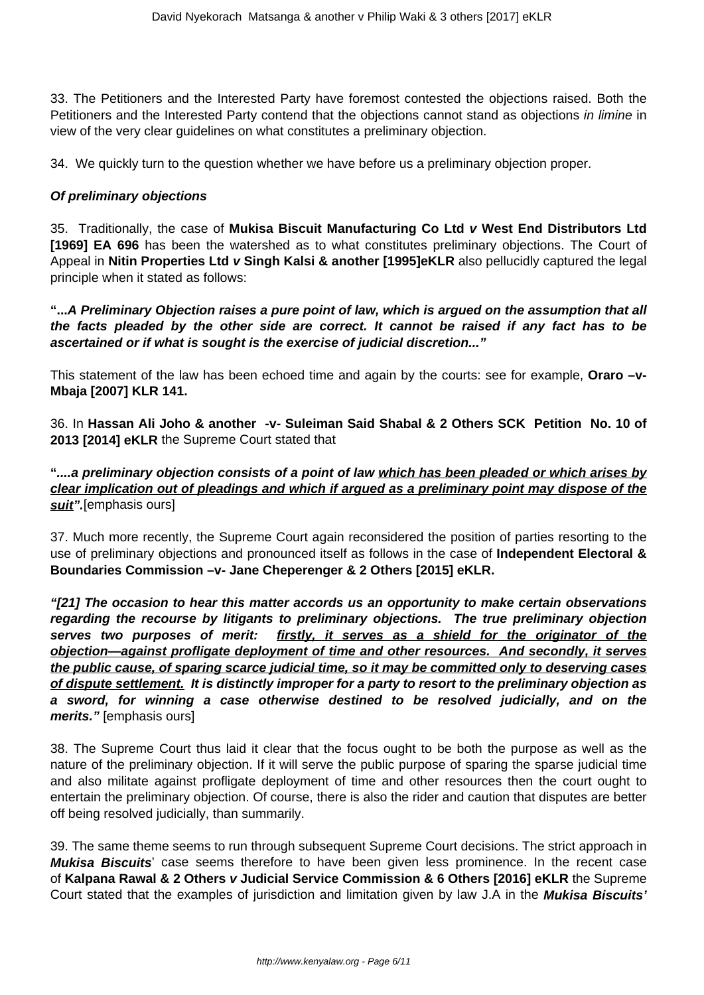33. The Petitioners and the Interested Party have foremost contested the objections raised. Both the Petitioners and the Interested Party contend that the objections cannot stand as objections in limine in view of the very clear guidelines on what constitutes a preliminary objection.

34. We quickly turn to the question whether we have before us a preliminary objection proper.

#### **Of preliminary objections**

35. Traditionally, the case of **Mukisa Biscuit Manufacturing Co Ltd v West End Distributors Ltd [1969] EA 696** has been the watershed as to what constitutes preliminary objections. The Court of Appeal in **Nitin Properties Ltd v Singh Kalsi & another [1995]eKLR** also pellucidly captured the legal principle when it stated as follows:

**"...A Preliminary Objection raises a pure point of law, which is argued on the assumption that all the facts pleaded by the other side are correct. It cannot be raised if any fact has to be ascertained or if what is sought is the exercise of judicial discretion..."**

This statement of the law has been echoed time and again by the courts: see for example, **Oraro –v-Mbaja [2007] KLR 141.**

36. In **Hassan Ali Joho & another -v- Suleiman Said Shabal & 2 Others SCK Petition No. 10 of 2013 [2014] eKLR** the Supreme Court stated that

**"....a preliminary objection consists of a point of law which has been pleaded or which arises by clear implication out of pleadings and which if argued as a preliminary point may dispose of the suit".**[emphasis ours]

37. Much more recently, the Supreme Court again reconsidered the position of parties resorting to the use of preliminary objections and pronounced itself as follows in the case of **Independent Electoral & Boundaries Commission –v- Jane Cheperenger & 2 Others [2015] eKLR.** 

**"[21] The occasion to hear this matter accords us an opportunity to make certain observations regarding the recourse by litigants to preliminary objections. The true preliminary objection serves two purposes of merit: firstly, it serves as a shield for the originator of the objection—against profligate deployment of time and other resources. And secondly, it serves the public cause, of sparing scarce judicial time, so it may be committed only to deserving cases of dispute settlement. It is distinctly improper for a party to resort to the preliminary objection as a sword, for winning a case otherwise destined to be resolved judicially, and on the merits."** [emphasis ours]

38. The Supreme Court thus laid it clear that the focus ought to be both the purpose as well as the nature of the preliminary objection. If it will serve the public purpose of sparing the sparse judicial time and also militate against profligate deployment of time and other resources then the court ought to entertain the preliminary objection. Of course, there is also the rider and caution that disputes are better off being resolved judicially, than summarily.

39. The same theme seems to run through subsequent Supreme Court decisions. The strict approach in **Mukisa Biscuits**' case seems therefore to have been given less prominence. In the recent case of **Kalpana Rawal & 2 Others v Judicial Service Commission & 6 Others [2016] eKLR** the Supreme Court stated that the examples of jurisdiction and limitation given by law J.A in the **Mukisa Biscuits'**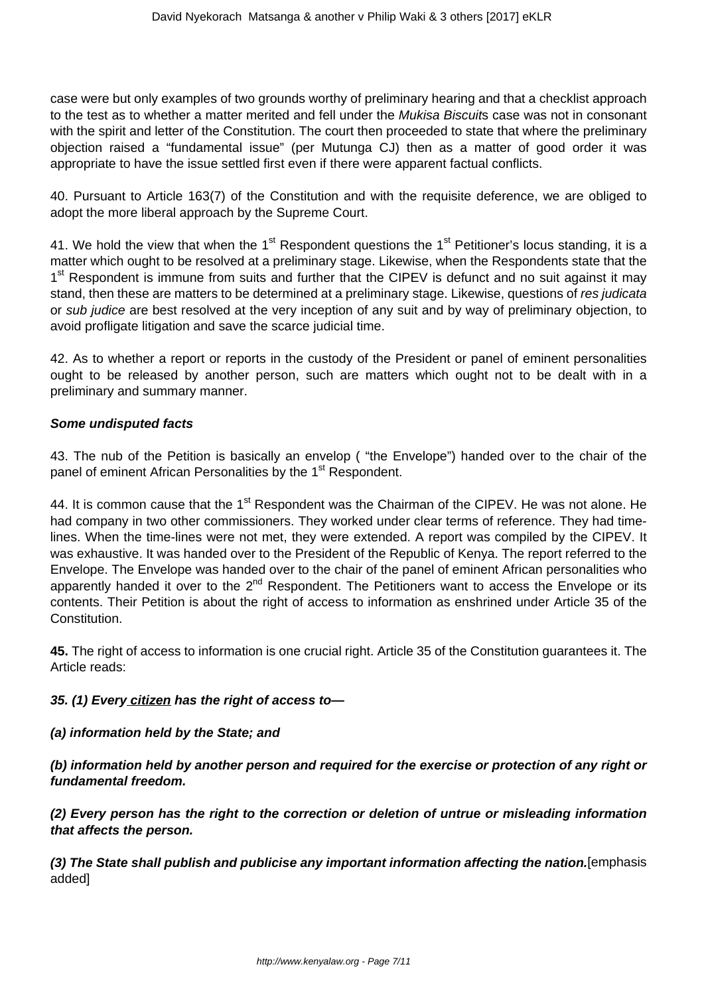case were but only examples of two grounds worthy of preliminary hearing and that a checklist approach to the test as to whether a matter merited and fell under the Mukisa Biscuits case was not in consonant with the spirit and letter of the Constitution. The court then proceeded to state that where the preliminary objection raised a "fundamental issue" (per Mutunga CJ) then as a matter of good order it was appropriate to have the issue settled first even if there were apparent factual conflicts.

40. Pursuant to Article 163(7) of the Constitution and with the requisite deference, we are obliged to adopt the more liberal approach by the Supreme Court.

41. We hold the view that when the 1<sup>st</sup> Respondent questions the 1<sup>st</sup> Petitioner's locus standing, it is a matter which ought to be resolved at a preliminary stage. Likewise, when the Respondents state that the 1<sup>st</sup> Respondent is immune from suits and further that the CIPEV is defunct and no suit against it may stand, then these are matters to be determined at a preliminary stage. Likewise, questions of res judicata or sub judice are best resolved at the very inception of any suit and by way of preliminary objection, to avoid profligate litigation and save the scarce judicial time.

42. As to whether a report or reports in the custody of the President or panel of eminent personalities ought to be released by another person, such are matters which ought not to be dealt with in a preliminary and summary manner.

#### **Some undisputed facts**

43. The nub of the Petition is basically an envelop ( "the Envelope") handed over to the chair of the panel of eminent African Personalities by the 1<sup>st</sup> Respondent.

44. It is common cause that the 1<sup>st</sup> Respondent was the Chairman of the CIPEV. He was not alone. He had company in two other commissioners. They worked under clear terms of reference. They had timelines. When the time-lines were not met, they were extended. A report was compiled by the CIPEV. It was exhaustive. It was handed over to the President of the Republic of Kenya. The report referred to the Envelope. The Envelope was handed over to the chair of the panel of eminent African personalities who apparently handed it over to the  $2^{nd}$  Respondent. The Petitioners want to access the Envelope or its contents. Their Petition is about the right of access to information as enshrined under Article 35 of the Constitution.

**45.** The right of access to information is one crucial right. Article 35 of the Constitution guarantees it. The Article reads:

## **35. (1) Every citizen has the right of access to—**

## **(a) information held by the State; and**

**(b) information held by another person and required for the exercise or protection of any right or fundamental freedom.**

**(2) Every person has the right to the correction or deletion of untrue or misleading information that affects the person.**

**(3) The State shall publish and publicise any important information affecting the nation.**[emphasis added]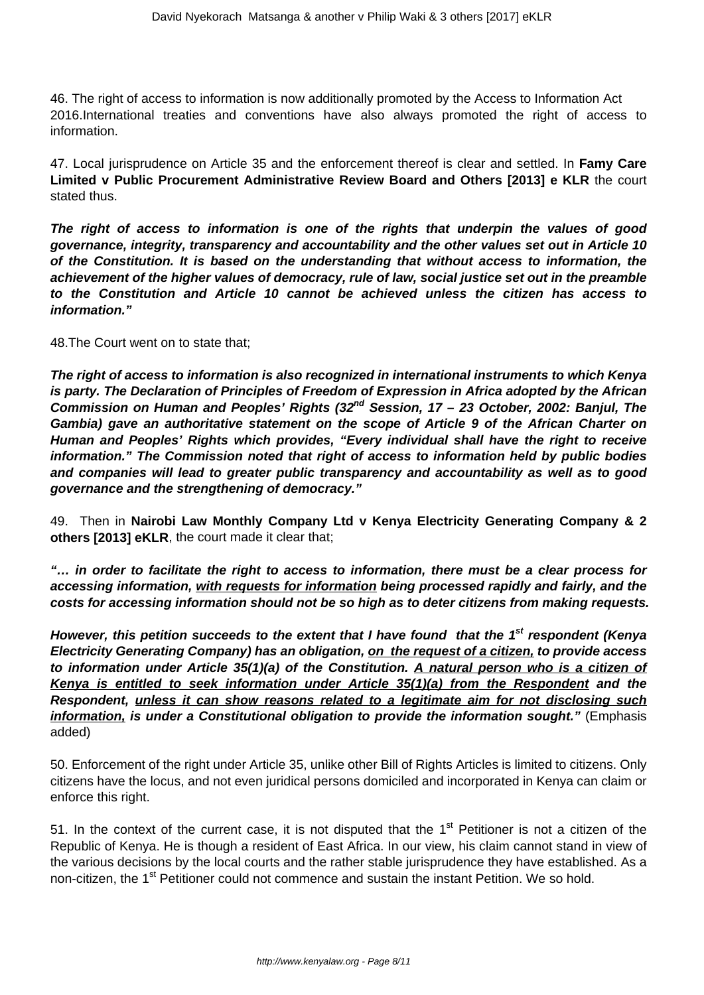46. The right of access to information is now additionally promoted by the Access to Information Act 2016.International treaties and conventions have also always promoted the right of access to information.

47. Local jurisprudence on Article 35 and the enforcement thereof is clear and settled. In **Famy Care Limited v Public Procurement Administrative Review Board and Others [2013] e KLR** the court stated thus.

**The right of access to information is one of the rights that underpin the values of good governance, integrity, transparency and accountability and the other values set out in Article 10 of the Constitution. It is based on the understanding that without access to information, the achievement of the higher values of democracy, rule of law, social justice set out in the preamble to the Constitution and Article 10 cannot be achieved unless the citizen has access to information."**

48.The Court went on to state that;

**The right of access to information is also recognized in international instruments to which Kenya is party. The Declaration of Principles of Freedom of Expression in Africa adopted by the African Commission on Human and Peoples' Rights (32nd Session, 17 – 23 October, 2002: Banjul, The Gambia) gave an authoritative statement on the scope of Article 9 of the African Charter on Human and Peoples' Rights which provides, "Every individual shall have the right to receive information." The Commission noted that right of access to information held by public bodies and companies will lead to greater public transparency and accountability as well as to good governance and the strengthening of democracy."** 

49. Then in **Nairobi Law Monthly Company Ltd v Kenya Electricity Generating Company & 2 others [2013] eKLR**, the court made it clear that;

**"… in order to facilitate the right to access to information, there must be a clear process for accessing information, with requests for information being processed rapidly and fairly, and the costs for accessing information should not be so high as to deter citizens from making requests.**

**However, this petition succeeds to the extent that I have found that the 1st respondent (Kenya Electricity Generating Company) has an obligation, on the request of a citizen, to provide access to information under Article 35(1)(a) of the Constitution. A natural person who is a citizen of Kenya is entitled to seek information under Article 35(1)(a) from the Respondent and the Respondent, unless it can show reasons related to a legitimate aim for not disclosing such** *information, is under a Constitutional obligation to provide the information sought."* **(Emphasis** added)

50. Enforcement of the right under Article 35, unlike other Bill of Rights Articles is limited to citizens. Only citizens have the locus, and not even juridical persons domiciled and incorporated in Kenya can claim or enforce this right.

51. In the context of the current case, it is not disputed that the  $1<sup>st</sup>$  Petitioner is not a citizen of the Republic of Kenya. He is though a resident of East Africa. In our view, his claim cannot stand in view of the various decisions by the local courts and the rather stable jurisprudence they have established. As a non-citizen, the 1<sup>st</sup> Petitioner could not commence and sustain the instant Petition. We so hold.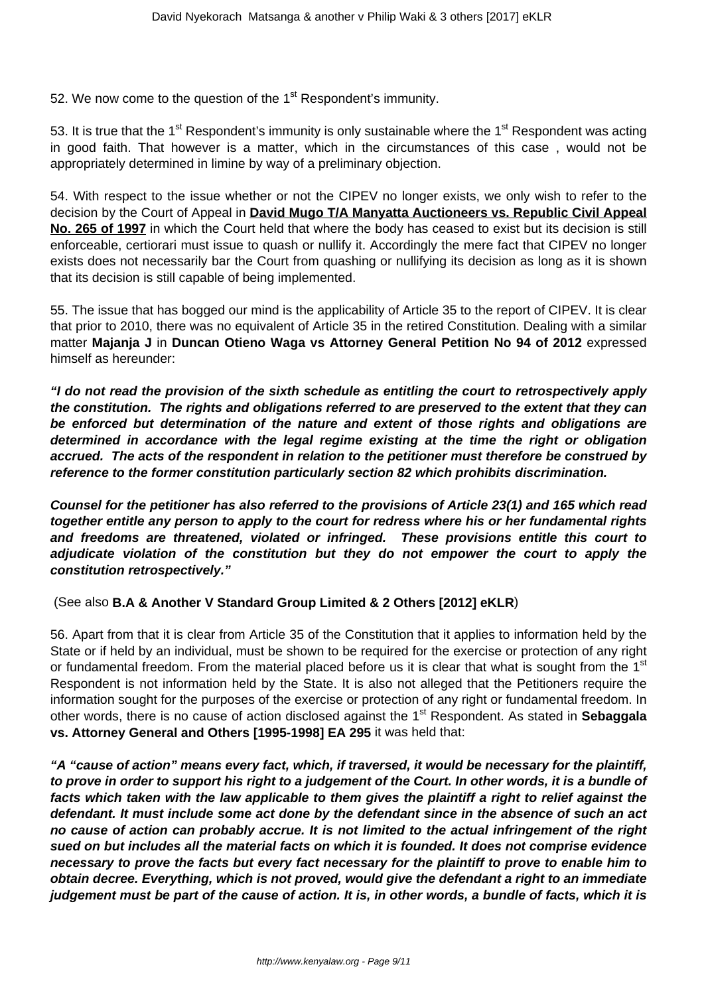52. We now come to the question of the 1<sup>st</sup> Respondent's immunity.

53. It is true that the 1<sup>st</sup> Respondent's immunity is only sustainable where the 1<sup>st</sup> Respondent was acting in good faith. That however is a matter, which in the circumstances of this case , would not be appropriately determined in limine by way of a preliminary objection.

54. With respect to the issue whether or not the CIPEV no longer exists, we only wish to refer to the decision by the Court of Appeal in **David Mugo T/A Manyatta Auctioneers vs. Republic Civil Appeal No. 265 of 1997** in which the Court held that where the body has ceased to exist but its decision is still enforceable, certiorari must issue to quash or nullify it. Accordingly the mere fact that CIPEV no longer exists does not necessarily bar the Court from quashing or nullifying its decision as long as it is shown that its decision is still capable of being implemented.

55. The issue that has bogged our mind is the applicability of Article 35 to the report of CIPEV. It is clear that prior to 2010, there was no equivalent of Article 35 in the retired Constitution. Dealing with a similar matter **Majanja J** in **Duncan Otieno Waga vs Attorney General Petition No 94 of 2012** expressed himself as hereunder:

**"I do not read the provision of the sixth schedule as entitling the court to retrospectively apply the constitution. The rights and obligations referred to are preserved to the extent that they can be enforced but determination of the nature and extent of those rights and obligations are determined in accordance with the legal regime existing at the time the right or obligation accrued. The acts of the respondent in relation to the petitioner must therefore be construed by reference to the former constitution particularly section 82 which prohibits discrimination.**

**Counsel for the petitioner has also referred to the provisions of Article 23(1) and 165 which read together entitle any person to apply to the court for redress where his or her fundamental rights and freedoms are threatened, violated or infringed. These provisions entitle this court to adjudicate violation of the constitution but they do not empower the court to apply the constitution retrospectively."**

(See also **B.A & Another V Standard Group Limited & 2 Others [2012] eKLR**)

56. Apart from that it is clear from Article 35 of the Constitution that it applies to information held by the State or if held by an individual, must be shown to be required for the exercise or protection of any right or fundamental freedom. From the material placed before us it is clear that what is sought from the 1<sup>st</sup> Respondent is not information held by the State. It is also not alleged that the Petitioners require the information sought for the purposes of the exercise or protection of any right or fundamental freedom. In other words, there is no cause of action disclosed against the 1<sup>st</sup> Respondent. As stated in **Sebaggala vs. Attorney General and Others [1995-1998] EA 295** it was held that:

**"A "cause of action" means every fact, which, if traversed, it would be necessary for the plaintiff, to prove in order to support his right to a judgement of the Court. In other words, it is a bundle of facts which taken with the law applicable to them gives the plaintiff a right to relief against the defendant. It must include some act done by the defendant since in the absence of such an act no cause of action can probably accrue. It is not limited to the actual infringement of the right sued on but includes all the material facts on which it is founded. It does not comprise evidence necessary to prove the facts but every fact necessary for the plaintiff to prove to enable him to obtain decree. Everything, which is not proved, would give the defendant a right to an immediate judgement must be part of the cause of action. It is, in other words, a bundle of facts, which it is**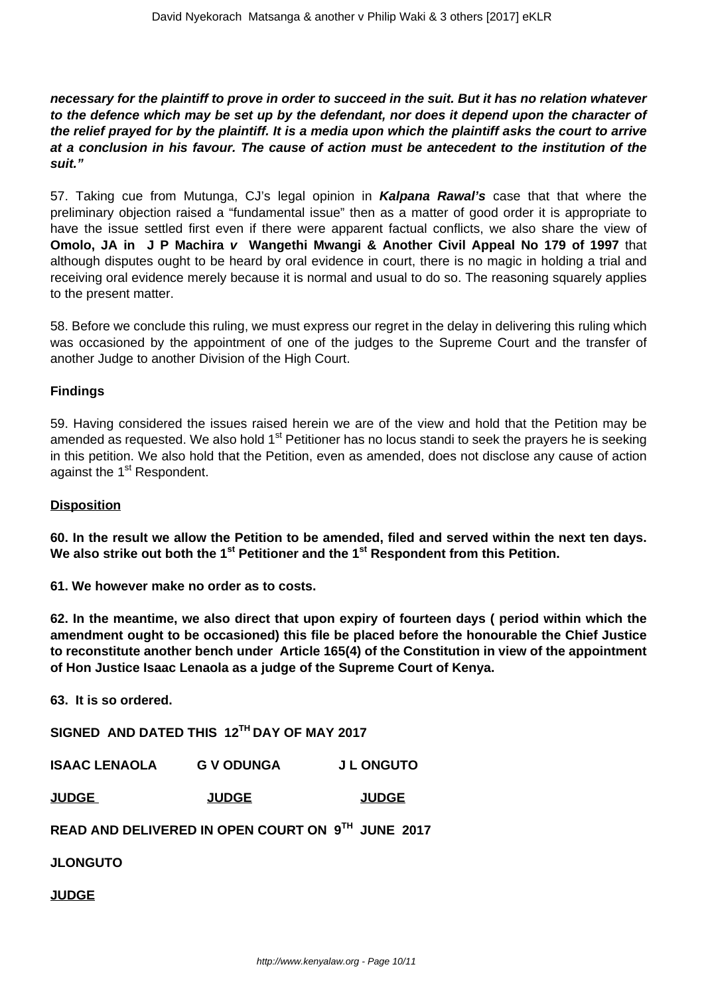**necessary for the plaintiff to prove in order to succeed in the suit. But it has no relation whatever to the defence which may be set up by the defendant, nor does it depend upon the character of the relief prayed for by the plaintiff. It is a media upon which the plaintiff asks the court to arrive at a conclusion in his favour. The cause of action must be antecedent to the institution of the suit."**

57. Taking cue from Mutunga, CJ's legal opinion in **Kalpana Rawal's** case that that where the preliminary objection raised a "fundamental issue" then as a matter of good order it is appropriate to have the issue settled first even if there were apparent factual conflicts, we also share the view of **Omolo, JA in J P Machira v Wangethi Mwangi & Another Civil Appeal No 179 of 1997** that although disputes ought to be heard by oral evidence in court, there is no magic in holding a trial and receiving oral evidence merely because it is normal and usual to do so. The reasoning squarely applies to the present matter.

58. Before we conclude this ruling, we must express our regret in the delay in delivering this ruling which was occasioned by the appointment of one of the judges to the Supreme Court and the transfer of another Judge to another Division of the High Court.

## **Findings**

59. Having considered the issues raised herein we are of the view and hold that the Petition may be amended as requested. We also hold 1<sup>st</sup> Petitioner has no locus standi to seek the prayers he is seeking in this petition. We also hold that the Petition, even as amended, does not disclose any cause of action against the 1<sup>st</sup> Respondent.

## **Disposition**

**60. In the result we allow the Petition to be amended, filed and served within the next ten days. We also strike out both the 1st Petitioner and the 1st Respondent from this Petition.**

**61. We however make no order as to costs.**

**62. In the meantime, we also direct that upon expiry of fourteen days ( period within which the amendment ought to be occasioned) this file be placed before the honourable the Chief Justice to reconstitute another bench under Article 165(4) of the Constitution in view of the appointment of Hon Justice Isaac Lenaola as a judge of the Supreme Court of Kenya.**

**63. It is so ordered.**

**SIGNED AND DATED THIS 12TH DAY OF MAY 2017**

|  | <b>ISAAC LENAOLA</b> | <b>G V ODUNGA</b> | <b>J L ONGUTO</b> |
|--|----------------------|-------------------|-------------------|
|--|----------------------|-------------------|-------------------|

**JUDGE JUDGE JUDGE**

**READ AND DELIVERED IN OPEN COURT ON 9TH JUNE 2017**

**JLONGUTO**

**JUDGE**